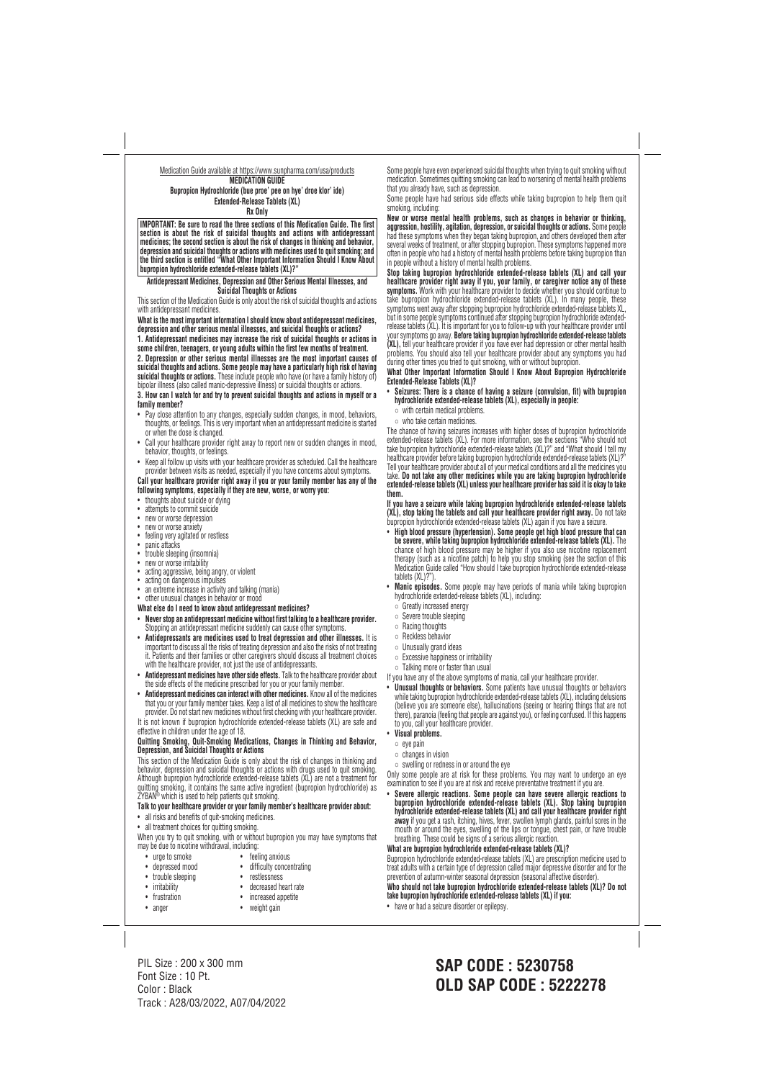#### Medication Guide available at https://www.sunpharma.com/usa/products **MEDICATION GUIDE Bupropion Hydrochloride (bue proe' pee on hye' droe klor' ide) Extended-Release Tablets (XL) Rx Only**

**IMPORTANT: Be sure to read the three sections of this Medication Guide. The first section is about the risk of suicidal thoughts and actions with antidepressant medicines; the second section is about the risk of changes in thinking and behavior, depression and suicidal thoughts or actions with medicines used to quit smoking; and the third section is entitled "What Other Important Information Should I Know About bupropion hydrochloride extended-release tablets (XL)?"**

#### **Antidepressant Medicines, Depression and Other Serious Mental Illnesses, and Suicidal Thoughts or Actions**

This section of the Medication Guide is only about the risk of suicidal thoughts and actions with antidepressant medicines.

**What is the most important information I should know about antidepressant medicines, depression and other serious mental illnesses, and suicidal thoughts or actions?**

- Pay close attention to any changes, especially sudden changes, in mood, behaviors, thoughts, or feelings. This is very important when an antidepressant medicine is started or when the dose is changed.
- Call your healthcare provider right away to report new or sudden changes in mood, behavior, thoughts, or feelings.
- Keep all follow up visits with your healthcare provider as scheduled. Call the healthcare provider between visits as needed, especially if you have concerns about symptoms.

**1. Antidepressant medicines may increase the risk of suicidal thoughts or actions in some children, teenagers, or young adults within the first few months of treatment. 2. Depression or other serious mental illnesses are the most important causes of suicidal thoughts and actions. Some people may have a particularly high risk of having suicidal thoughts or actions.** These include people who have (or have a family history of) bipolar illness (also called manic-depressive illness) or suicidal thoughts or actions.

**3. How can I watch for and try to prevent suicidal thoughts and actions in myself or a family member?**

- thoughts about suicide or dying
- attempts to commit suicide
- new or worse depression
- new or worse anxiety
- feeling very agitated or restless
- panic attacks
- trouble sleeping (insomnia)
- new or worse irritability
- acting aggressive, being angry, or violent
- acting on dangerous impulses
- an extreme increase in activity and talking (mania)
- other unusual changes in behavior or mood
- **What else do I need to know about antidepressant medicines?**
- **Never stop an antidepressant medicine without first talking to a healthcare provider.** Stopping an antidepressant medicine suddenly can cause other symptoms.
- **Antidepressants are medicines used to treat depression and other illnesses.** It is important to discuss all the risks of treating depression and also the risks of not treating it. Patients and their families or other caregivers should discuss all treatment choices with the healthcare provider, not just the use of antidepressants.
- **Antidepressant medicines have other side effects.** Talk to the healthcare provider about the side effects of the medicine prescribed for you or your family member.
- **Antidepressant medicines can interact with other medicines.** Know all of the medicines that you or your family member takes. Keep a list of all medicines to show the healthcare provider. Do not start new medicines without first checking with your healthcare provider.

**Talk to your healthcare provider or your family member's healthcare provider about:** • all risks and benefits of quit-smoking medicines. • all treatment choices for quitting smoking. When you try to quit smoking, with or without bupropion you may have symptoms that may be due to nicotine withdrawal, including: • urge to smoke • feeling anxious • depressed mood • difficulty concentrating • trouble sleeping • restlessness • irritability • decreased heart rate • frustration • increased appetite

**Call your healthcare provider right away if you or your family member has any of the following symptoms, especially if they are new, worse, or worry you:**

It is not known if bupropion hydrochloride extended-release tablets (XL) are safe and effective in children under the age of 18.

## **Quitting Smoking, Quit-Smoking Medications, Changes in Thinking and Behavior, Depression, and Suicidal Thoughts or Actions**

This section of the Medication Guide is only about the risk of changes in thinking and behavior, depression and suicidal thoughts or actions with drugs used to quit smoking. Although bupropion hydrochloride extended-release tablets (XL) are not a treatment for quitting smoking, it contains the same active ingredient (bupropion hydrochloride) as ZYBAN® which is used to help patients quit smoking.

Some people have even experienced suicidal thoughts when trying to quit smoking without medication. Sometimes quitting smoking can lead to worsening of mental health problems that you already have, such as depression.

Some people have had serious side effects while taking bupropion to help them quit smoking, including:

**New or worse mental health problems, such as changes in behavior or thinking, aggression, hostility, agitation, depression, or suicidal thoughts or actions.** Some people had these symptoms when they began taking bupropion, and others developed them after several weeks of treatment, or after stopping bupropion. These symptoms happened more often in people who had a history of mental health problems before taking bupropion than in people without a history of mental health problems.

**Stop taking bupropion hydrochloride extended-release tablets (XL) and call your healthcare provider right away if you, your family, or caregiver notice any of these symptoms.** Work with your healthcare provider to decide whether you should continue to take bupropion hydrochloride extended-release tablets (XL). In many people, these symptoms went away after stopping bupropion hydrochloride extended-release tablets XL, but in some people symptoms continued after stopping bupropion hydrochloride extended release tablets (XL). It is important for you to follow-up with your healthcare provider until your symptoms go away. **Before taking bupropion hydrochloride extended-release tablets (XL),** tell your healthcare provider if you have ever had depression or other mental health problems. You should also tell your healthcare provider about any symptoms you had during other times you tried to quit smoking, with or without bupropion.

#### **What Other Important Information Should I Know About Bupropion Hydrochloride Extended-Release Tablets (XL)?**

- **Seizures: There is a chance of having a seizure (convulsion, fit) with bupropion hydrochloride extended-release tablets (XL), especially in people:**
- with certain medical problems.
- who take certain medicines.

The chance of having seizures increases with higher doses of bupropion hydrochloride extended-release tablets (XL). For more information, see the sections "Who should not take bupropion hydrochloride extended-release tablets (XL)?" and "What should I tell my healthcare provider before taking bupropion hydrochloride extended-release tablets (XL)? Tell your healthcare provider about all of your medical conditions and all the medicines you take. **Do not take any other medicines while you are taking bupropion hydrochloride extended-release tablets (XL) unless your healthcare provider has said it is okay to take them.**

**If you have a seizure while taking bupropion hydrochloride extended-release tablets (XL), stop taking the tablets and call your healthcare provider right away.** Do not take bupropion hydrochloride extended-release tablets (XL) again if you have a seizure.

- **High blood pressure (hypertension). Some people get high blood pressure that can be severe, while taking bupropion hydrochloride extended-release tablets (XL).** The chance of high blood pressure may be higher if you also use nicotine replacement therapy (such as a nicotine patch) to help you stop smoking (see the section of this Medication Guide called "How should I take bupropion hydrochloride extended-release tablets (XL)?").
- **Manic episodes.** Some people may have periods of mania while taking bupropion hydrochloride extended-release tablets (XL), including:
	- Greatly increased energy
	- Severe trouble sleeping
- Racing thoughts
- Reckless behavior
- Unusually grand ideas
- Excessive happiness or irritability
- Talking more or faster than usual
- If you have any of the above symptoms of mania, call your healthcare provider.
- **Unusual thoughts or behaviors.** Some patients have unusual thoughts or behaviors while taking bupropion hydrochloride extended-release tablets (XL), including delusions (believe you are someone else), hallucinations (seeing or hearing things that are not there), paranoia (feeling that people are against you), or feeling confused. If this happens to you, call your healthcare provider.
- **Visual problems.**
- eye pain
- changes in vision
- swelling or redness in or around the eye

Only some people are at risk for these problems. You may want to undergo an eye examination to see if you are at risk and receive preventative treatment if you are.

• **Severe allergic reactions. Some people can have severe allergic reactions to bupropion hydrochloride extended-release tablets (XL). Stop taking bupropion hydrochloride extended-release tablets (XL) and call your healthcare provider right**

• anger • weight gain

**away** if you get a rash, itching, hives, fever, swollen lymph glands, painful sores in the mouth or around the eyes, swelling of the lips or tongue, chest pain, or have trouble breathing. These could be signs of a serious allergic reaction. **What are bupropion hydrochloride extended-release tablets (XL)?** Bupropion hydrochloride extended-release tablets (XL) are prescription medicine used to treat adults with a certain type of depression called major depressive disorder and for the prevention of autumn-winter seasonal depression (seasonal affective disorder). **Who should not take bupropion hydrochloride extended-release tablets (XL)? Do not take bupropion hydrochloride extended-release tablets (XL) if you:**

• have or had a seizure disorder or epilepsy.

PIL Size : 200 x 300 mm Font Size : 10 Pt. Color : Black Track : A28/03/2022, A07/04/2022

# **SAP CODE : 5230758 OLD SAP CODE : 5222278**